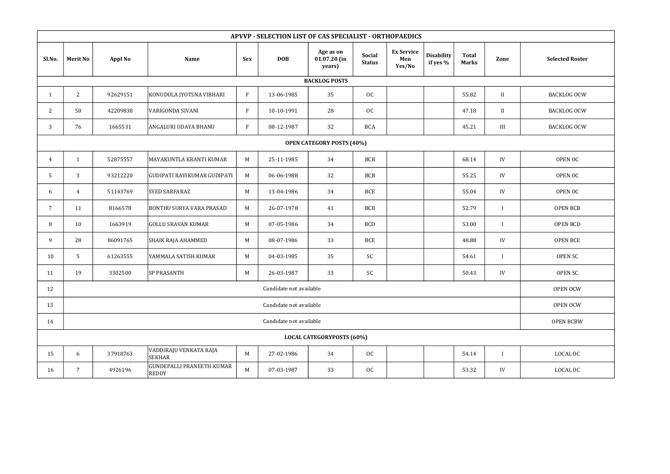| APVVP - SELECTION LIST OF CAS SPECIALIST - ORTHOPAEDICS |                         |                |                                                  |              |            |                                       |                         |                                    |                               |                              |                  |                        |
|---------------------------------------------------------|-------------------------|----------------|--------------------------------------------------|--------------|------------|---------------------------------------|-------------------------|------------------------------------|-------------------------------|------------------------------|------------------|------------------------|
| Sl.No.                                                  | <b>Merit No</b>         | <b>Appl No</b> | <b>Name</b>                                      | <b>Sex</b>   | <b>DOB</b> | Age as on<br>$01.07.20$ (in<br>years) | Social<br><b>Status</b> | <b>Ex Service</b><br>Men<br>Yes/No | <b>Disability</b><br>if yes % | <b>Total</b><br><b>Marks</b> | Zone             | <b>Selected Roster</b> |
| <b>BACKLOG POSTS</b>                                    |                         |                |                                                  |              |            |                                       |                         |                                    |                               |                              |                  |                        |
| -1                                                      | $\overline{2}$          | 92629151       | KONUDULA JYOTSNA VIBHARI                         | $\mathbf{F}$ | 13-06-1985 | 35                                    | OC                      |                                    |                               | 55.82                        | II               | <b>BACKLOG OCW</b>     |
| 2                                                       | 50                      | 42209838       | <b>VARIGONDA SIVANI</b>                          | $\mathbf{F}$ | 10-10-1991 | 28                                    | OC                      |                                    |                               | 47.18                        | II               | <b>BACKLOG OCW</b>     |
| 3                                                       | 76                      | 1665531        | ANGALURI UDAYA BHANU                             | $\mathbf{F}$ | 08-12-1987 | 32                                    | <b>BCA</b>              |                                    |                               | 45.21                        | $\rm III$        | <b>BACKLOG OCW</b>     |
| <b>OPEN CATEGORY POSTS (40%)</b>                        |                         |                |                                                  |              |            |                                       |                         |                                    |                               |                              |                  |                        |
| 4                                                       | 1                       | 52875557       | MAYAKUNTLA KRANTI KUMAR                          | M            | 25-11-1985 | 34                                    | <b>BCB</b>              |                                    |                               | 68.14                        | IV               | OPEN OC                |
| 5                                                       | 3                       | 93212220       | GUDIPATI RAVIKUMAR GUDIPATI                      | M            | 06-06-1988 | 32                                    | <b>BCB</b>              |                                    |                               | 55.25                        | IV               | OPEN OC                |
| 6                                                       | $\overline{4}$          | 51143769       | <b>SYED SARFARAZ</b>                             | M            | 13-04-1986 | 34                                    | <b>BCE</b>              |                                    |                               | 55.04                        | IV               | OPEN OC                |
| $7\overline{ }$                                         | 11                      | 8166578        | <b>BONTHU SURYA VARA PRASAD</b>                  | M            | 26-07-1978 | 41                                    | <b>BCB</b>              |                                    |                               | 52.79                        | $\mathbf{I}$     | <b>OPEN BCB</b>        |
| 8                                                       | 10                      | 1663919        | <b>GOLLU SRAVAN KUMAR</b>                        | M            | 07-05-1986 | 34                                    | <b>BCD</b>              |                                    |                               | 53.00                        | $\mathbf{I}$     | OPEN BCD               |
| 9                                                       | 28                      | 86091765       | SHAIK RAJA AHAMMED                               | M            | 08-07-1986 | 33                                    | <b>BCE</b>              |                                    |                               | 48.88                        | IV               | <b>OPEN BCE</b>        |
| 10                                                      | 5                       | 61263555       | YAMMALA SATISH KUMAR                             | M            | 04-03-1985 | 35                                    | SC                      |                                    |                               | 54.61                        | $\bf{I}$         | OPEN SC                |
| 11                                                      | 19                      | 3302500        | <b>SP PRASANTH</b>                               | M            | 26-03-1987 | 33                                    | SC                      |                                    |                               | 50.43                        | IV               | OPEN SC                |
| 12                                                      | Candidate not available |                |                                                  |              |            |                                       |                         |                                    |                               |                              | <b>OPEN OCW</b>  |                        |
| 13                                                      | Candidate not available |                |                                                  |              |            |                                       |                         |                                    |                               |                              | OPEN OCW         |                        |
| 14                                                      | Candidate not available |                |                                                  |              |            |                                       |                         |                                    |                               |                              | <b>OPEN BCBW</b> |                        |
| <b>LOCAL CATEGORYPOSTS (60%)</b>                        |                         |                |                                                  |              |            |                                       |                         |                                    |                               |                              |                  |                        |
| 15                                                      | 6                       | 37918763       | VADDIRAJU VENKATA RAJA<br><b>SEKHAR</b>          | $M_{\odot}$  | 27-02-1986 | 34                                    | OC                      |                                    |                               | 54.14                        | $\mathbf I$      | LOCAL OC               |
| 16                                                      | 7                       | 4926196        | <b>GUNDEPALLI PRANEETH KUMAR</b><br><b>REDDY</b> | $M_{\odot}$  | 07-03-1987 | 33                                    | OC                      |                                    |                               | 53.32                        | IV               | LOCAL OC               |